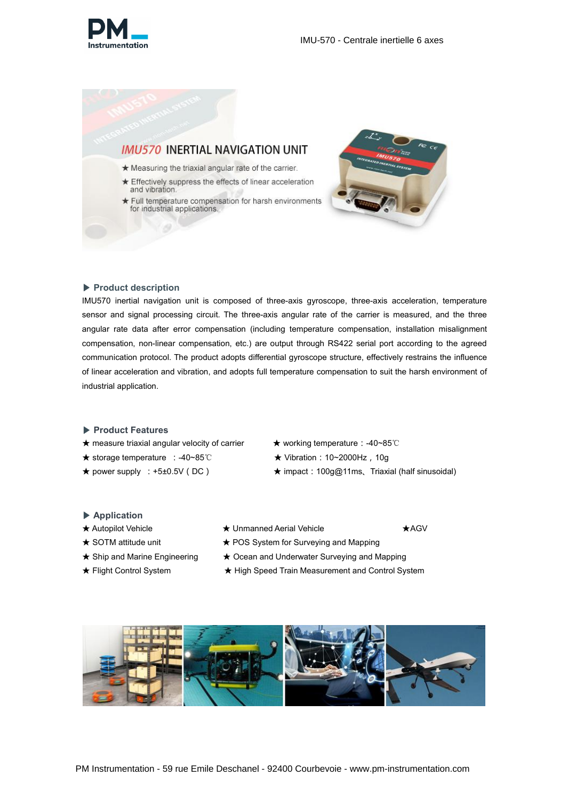



- ★ Measuring the triaxial angular rate of the carrier.
- ★ Effectively suppress the effects of linear acceleration and vibration.
- ★ Full temperature compensation for harsh environments<br>for industrial applications.



#### ▶ **Product description**

IMU570 inertial navigation unit is composed of three-axis gyroscope, three-axis acceleration, temperature sensor and signal processing circuit. The three-axis angular rate of the carrier is measured, and the three angular rate data after error compensation (including temperature compensation, installation misalignment compensation, non-linear compensation, etc.) are output through RS422 serial port according to the agreed communication protocol. The product adopts differential gyroscope structure, effectively restrains the influence of linear acceleration and vibration, and adopts full temperature compensation to suit the harsh environment of industrial application.

#### ▶ **Product Features**

★ measure triaxial angular velocity of carrier ★ working temperature:-40~85℃

19

- ★ storage temperature :-40~85℃ ★ Vibration:10~2000Hz,10g
- 
- 
- 
- ★ power supply :+5±0.5V(DC) ★ impact:100g@11ms、Triaxial (half sinusoidal)

#### ▶ **Application**

- 
- 
- 
- 
- ★ Autopilot Vehicle ★ Whmanned Aerial Vehicle ★ <br />
★AGV
	-
- **★ SOTM attitude unit ★ POS System for Surveying and Mapping**
- **★ Ship and Marine Engineering ★ Ocean and Underwater Surveying and Mapping**
- ★ Flight Control System ★ High Speed Train Measurement and Control System

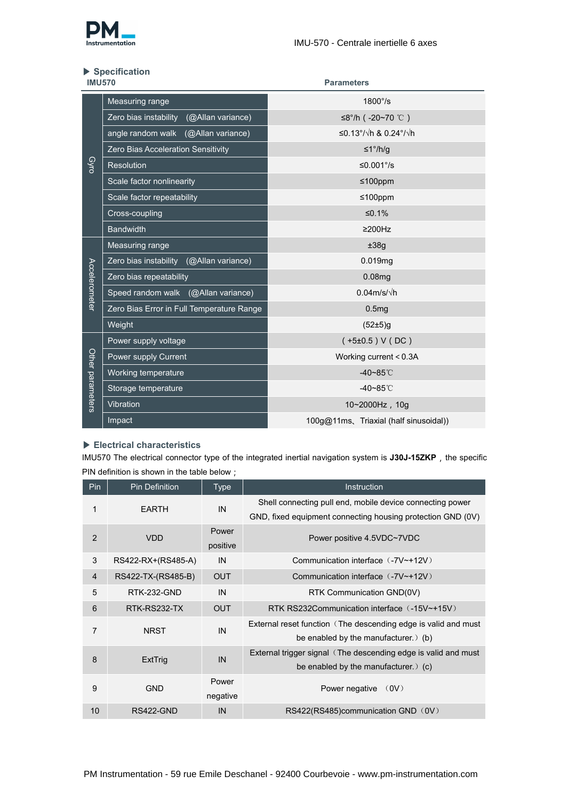

# ▶ **Specification**

| <b>IMU570</b>    |                                            | <b>Parameters</b>                      |  |  |  |
|------------------|--------------------------------------------|----------------------------------------|--|--|--|
|                  | Measuring range                            | 1800°/s                                |  |  |  |
|                  | Zero bias instability<br>(@Allan variance) | ≤8°/h (-20~70 ℃)                       |  |  |  |
|                  | angle random walk (@Allan variance)        | ≤0.13°/√h & 0.24°/√h                   |  |  |  |
|                  | Zero Bias Acceleration Sensitivity         | ≤1°/h/g                                |  |  |  |
| Gyro             | Resolution                                 | ≤0.001 $\degree$ /s                    |  |  |  |
|                  | Scale factor nonlinearity                  | ≤100ppm                                |  |  |  |
|                  | Scale factor repeatability                 | ≤100ppm                                |  |  |  |
|                  | Cross-coupling                             | ≤0.1%                                  |  |  |  |
|                  | <b>Bandwidth</b>                           | $\geq$ 200Hz                           |  |  |  |
|                  | Measuring range                            | ±38g                                   |  |  |  |
|                  | Zero bias instability (@Allan variance)    | 0.019mg                                |  |  |  |
|                  | Zero bias repeatability                    | 0.08mg                                 |  |  |  |
| Accelerometer    | Speed random walk (@Allan variance)        | $0.04$ m/s/ $\sqrt{}$ h                |  |  |  |
|                  | Zero Bias Error in Full Temperature Range  | 0.5mg                                  |  |  |  |
|                  | Weight                                     | (52±5)g                                |  |  |  |
|                  | Power supply voltage                       | $(+5\pm0.5) V(DC)$                     |  |  |  |
|                  | Power supply Current                       | Working current < 0.3A                 |  |  |  |
|                  | Working temperature                        | $-40 - 85^{\circ}$ C                   |  |  |  |
| Other parameters | Storage temperature                        | $-40 - 85^{\circ}$ C                   |  |  |  |
|                  | Vibration                                  | 10~2000Hz, 10g                         |  |  |  |
|                  | Impact                                     | 100g@11ms, Triaxial (half sinusoidal)) |  |  |  |

# ▶ **Electrical characteristics**

IMU570 The electrical connector type of the integrated inertial navigation system is J30J-15ZKP, the specific PIN definition is shown in the table below;

| Pin | Pin Definition     | <b>Type</b>       | <b>Instruction</b>                                                                                           |
|-----|--------------------|-------------------|--------------------------------------------------------------------------------------------------------------|
|     | <b>EARTH</b>       | IN                | Shell connecting pull end, mobile device connecting power                                                    |
| 2   | <b>VDD</b>         | Power<br>positive | GND, fixed equipment connecting housing protection GND (0V)<br>Power positive 4.5VDC~7VDC                    |
| 3   | RS422-RX+(RS485-A) | IN                | Communication interface (-7V~+12V)                                                                           |
| 4   | RS422-TX-(RS485-B) | <b>OUT</b>        | Communication interface (-7V~+12V)                                                                           |
| 5   | RTK-232-GND        | IN                | RTK Communication GND(0V)                                                                                    |
| 6   | RTK-RS232-TX       | <b>OUT</b>        | RTK RS232Communication interface (-15V~+15V)                                                                 |
|     | <b>NRST</b>        | IN                | External reset function (The descending edge is valid and must<br>be enabled by the manufacturer. $\phi$ (b) |
| 8   | ExtTrig            | IN                | External trigger signal (The descending edge is valid and must<br>be enabled by the manufacturer. $\phi$ (c) |
| 9   | <b>GND</b>         | Power<br>negative | Power negative (0V)                                                                                          |
| 10  | RS422-GND          | IN                | RS422(RS485)communication GND (0V)                                                                           |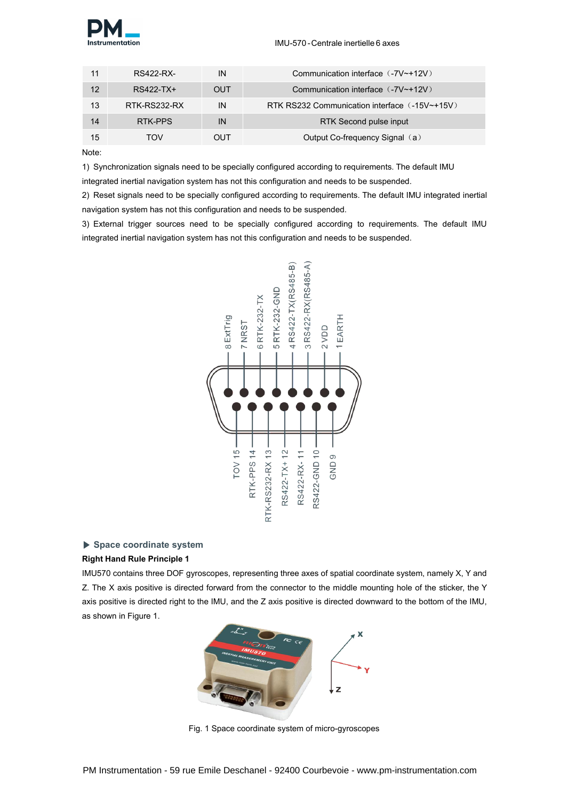

|    | RS422-RX-    | IN         | Communication interface (-7V~+12V)            |
|----|--------------|------------|-----------------------------------------------|
| 12 | RS422-TX+    | <b>OUT</b> | Communication interface (-7V~+12V)            |
| 13 | RTK-RS232-RX | IN         | RTK RS232 Communication interface (-15V~+15V) |
| 14 | RTK-PPS      | IN         | RTK Second pulse input                        |
| 15 | <b>TOV</b>   | OUT        | Output Co-frequency Signal (a)                |

Note:

1) Synchronization signals need to be specially configured according to requirements. The default IMU

integrated inertial navigation system has not this configuration and needs to be suspended.

2) Reset signals need to be specially configured according to requirements. The default IMU integrated inertial navigation system has not this configuration and needs to be suspended.

3) External trigger sources need to be specially configured according to requirements. The default IMU integrated inertial navigation system has not this configuration and needs to be suspended.



# ▶ **Space coordinate system**

# **Right Hand Rule Principle 1**

IMU570 contains three DOF gyroscopes, representing three axes of spatial coordinate system, namely X, Y and Z. The X axis positive is directed forward from the connector to the middle mounting hole of the sticker, the Y axis positive is directed right to the IMU, and the Z axis positive is directed downward to the bottom of the IMU, as shown in Figure 1.



Fig. 1 Space coordinate system of micro-gyroscopes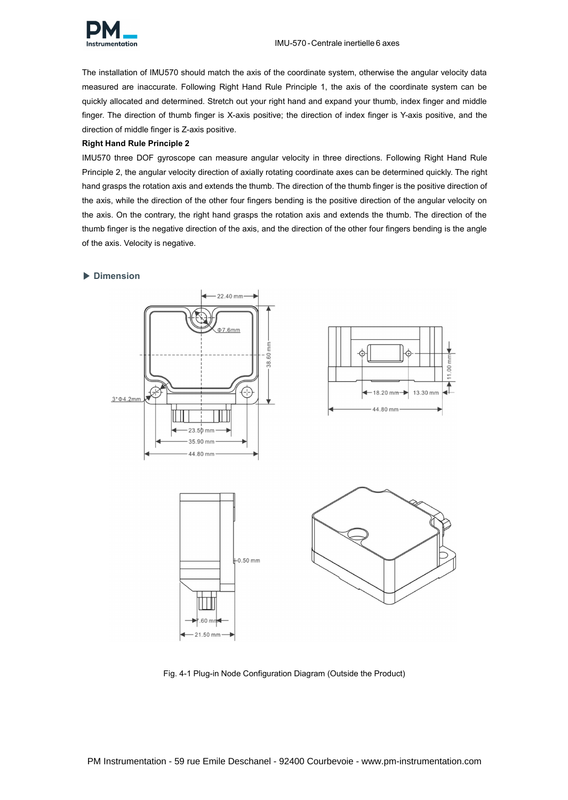

The installation of IMU570 should match the axis of the coordinate system, otherwise the angular velocity data measured are inaccurate. Following Right Hand Rule Principle 1, the axis of the coordinate system can be quickly allocated and determined. Stretch out your right hand and expand your thumb, index finger and middle finger. The direction of thumb finger is X-axis positive; the direction of index finger is Y-axis positive, and the direction of middle finger is Z-axis positive.

#### **Right Hand Rule Principle 2**

IMU570 three DOF gyroscope can measure angular velocity in three directions. Following Right Hand Rule Principle 2, the angular velocity direction of axially rotating coordinate axes can be determined quickly. The right hand grasps the rotation axis and extends the thumb. The direction of the thumb finger is the positive direction of the axis, while the direction of the other four fingers bending is the positive direction of the angular velocity on the axis. On the contrary, the right hand grasps the rotation axis and extends the thumb. The direction of the thumb finger is the negative direction of the axis, and the direction of the other four fingers bending is the angle of the axis. Velocity is negative.

#### ▶ **Dimension**



Fig. 4-1 Plug-in Node Configuration Diagram (Outside the Product)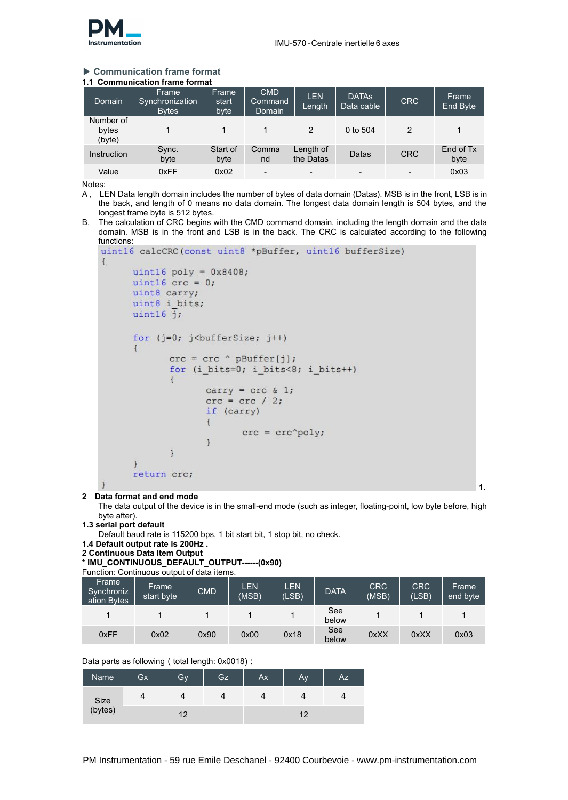

## ▶ **Communication frame format**

| 1.1 Communication frame format |  |  |  |
|--------------------------------|--|--|--|
|                                |  |  |  |

| Domain                       | Frame<br>Synchronization<br><b>Bytes</b> | Frame<br>start<br>byte | <b>CMD</b><br>Command<br>Domain | <b>LEN</b><br>Length     | <b>DATAS</b><br>Data cable | <b>CRC</b> | Frame<br>End Byte |
|------------------------------|------------------------------------------|------------------------|---------------------------------|--------------------------|----------------------------|------------|-------------------|
| Number of<br>bytes<br>(byte) |                                          |                        |                                 |                          | 0 to 504                   |            |                   |
| Instruction                  | Sync.<br>byte                            | Start of<br>byte       | Comma<br>nd                     | Length of<br>the Datas   | Datas                      | <b>CRC</b> | End of Tx<br>byte |
| Value                        | 0xFF                                     | 0x02                   | $\overline{\phantom{a}}$        | $\overline{\phantom{a}}$ | $\overline{\phantom{a}}$   |            | 0x03              |

Notes:

- A, LEN Data length domain includes the number of bytes of data domain (Datas). MSB is in the front, LSB is in the back, and length of 0 means no data domain. The longest data domain length is 504 bytes, and the longest frame byte is 512 bytes.
- B, The calculation of CRC begins with the CMD command domain, including the length domain and the data domain. MSB is in the front and LSB is in the back. The CRC is calculated according to the following functions:

```
uint16 calcCRC(const uint8 *pBuffer, uint16 bufferSize)
\left\{ \right\}uint16 poly = 0x8408;
        uint16 \text{crc} = 0;
        uint8 carry;
        uint8 i bits;
        uint16 j;for (j=0; j<br/>bufferSize; j++)
         \{\text{crc} = \text{crc} ^ pBuffer[j];
                  for (i_bits=0; i_bits<8; i_bits++)
                   \left\{ \right.carry = \text{crc } 0 1;
                            \text{crc} = \text{crc} / 2;if (carry)
                            \left\{ \right.\text{crc} = \text{crc} \text{'poly};\mathcal{F}\mathcal{E}\mathcal{F}return crc;
```
#### **2 Data format and end mode**

The data output of the device is in the small-end mode (such as integer, floating-point, low byte before, high byte after).

**1.**

**1.3 serial port default**

Default baud rate is 115200 bps, 1 bit start bit, 1 stop bit, no check.

**1.4 Default output rate is 200Hz .**

```
2 Continuous Data Item Output
```
**\* IMU\_CONTINUOUS\_DEFAULT\_OUTPUT------(0x90)**

```
Function: Continuous output of data items.
```

| Frame<br>Synchroniz<br>ation Bytes | Frame<br>start byte | <b>CMD</b> | <b>LEN</b><br>(MSB) | LEN<br>(LSB) | <b>DATA</b>  | CRC<br>(MSB) | <b>CRC</b><br>(LSB) | Frame<br>end byte |
|------------------------------------|---------------------|------------|---------------------|--------------|--------------|--------------|---------------------|-------------------|
|                                    |                     |            |                     |              | See<br>below |              |                     |                   |
| 0xFF                               | 0x02                | 0x90       | 0x00                | 0x18         | See<br>below | 0xXX         | 0xXX                | 0x03              |

Data parts as following (total length: 0x0018):

| Name            | Gx | Gv | Gz | Ax | Av          | <b>Az</b> |
|-----------------|----|----|----|----|-------------|-----------|
|                 | 4  |    |    | ▵  |             | д         |
| Size<br>(bytes) |    | 12 |    |    | $1^{\circ}$ |           |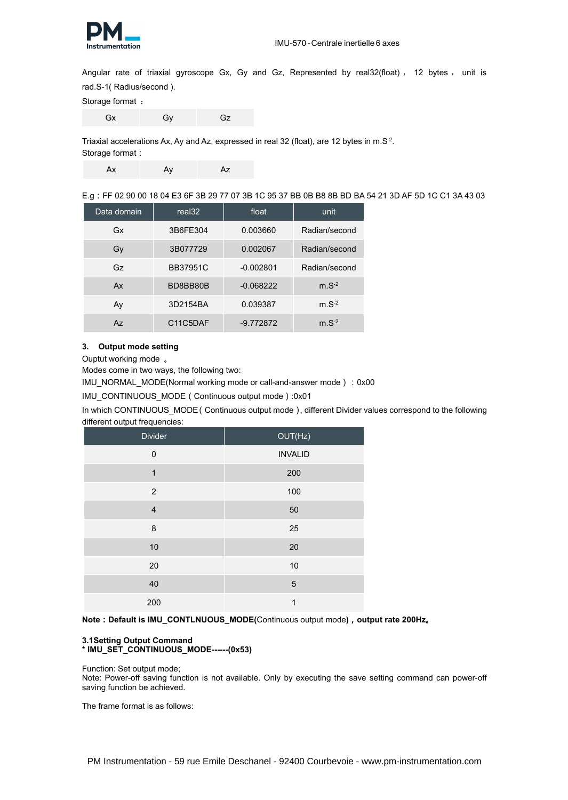

Angular rate of triaxial gyroscope Gx, Gy and Gz, Represented by real32(float), 12 bytes, unit is rad.S-1( Radius/second ).

Storage format :

Gx Gy Gz

Triaxial accelerations Ax, Ay and Az, expressed in real 32 (float), are 12 bytes in m.S<sup>-2</sup>. .

Storage format:

Ax Ay Az Az

E.g:FF 02 90 00 18 04 E3 6F 3B 29 77 07 3B 1C 95 37 BB 0B B8 8B BD BA 54 21 3D AF 5D 1C C13A 43 03

| Data domain | real <sub>32</sub> | float       | unit          |
|-------------|--------------------|-------------|---------------|
| Gx          | 3B6FE304           | 0.003660    | Radian/second |
| Gy          | 3B077729           | 0.002067    | Radian/second |
| Gz          | <b>BB37951C</b>    | $-0.002801$ | Radian/second |
| Ax          | BD8BB80B           | $-0.068222$ | $m.S^{-2}$    |
| Ay          | 3D2154BA           | 0.039387    | $m.S^{-2}$    |
| Az.         | C11C5DAF           | $-9.772872$ | $m.S^{-2}$    |

#### **3. Output mode setting**

Ouptut working mode 。

Modes come in two ways, the following two:

IMU\_NORMAL\_MODE(Normal working mode or call-and-answer mode):0x00

IMU\_CONTINUOUS\_MODE(Continuous output mode):0x01

In which CONTINUOUS MODE(Continuous output mode), different Divider values correspond to the following different output frequencies:

| Divider                 | OUT(Hz)        |
|-------------------------|----------------|
| $\mathbf 0$             | <b>INVALID</b> |
| $\mathbf{1}$            | 200            |
| 2                       | 100            |
| $\overline{\mathbf{4}}$ | 50             |
| $\bf 8$                 | 25             |
| 10                      | 20             |
| 20                      | 10             |
| 40                      | $\overline{5}$ |
| 200                     | 1              |

**Note:Default is IMU\_CONTLNUOUS\_MODE(**Continuous output mode**),output rate 200Hz。**

#### **3.1Setting Output Command \* IMU\_SET\_CONTINUOUS\_MODE------(0x53)**

Function: Set output mode;

Note: Power-off saving function is not available. Only by executing the save setting command can power-off saving function be achieved.

The frame format is as follows: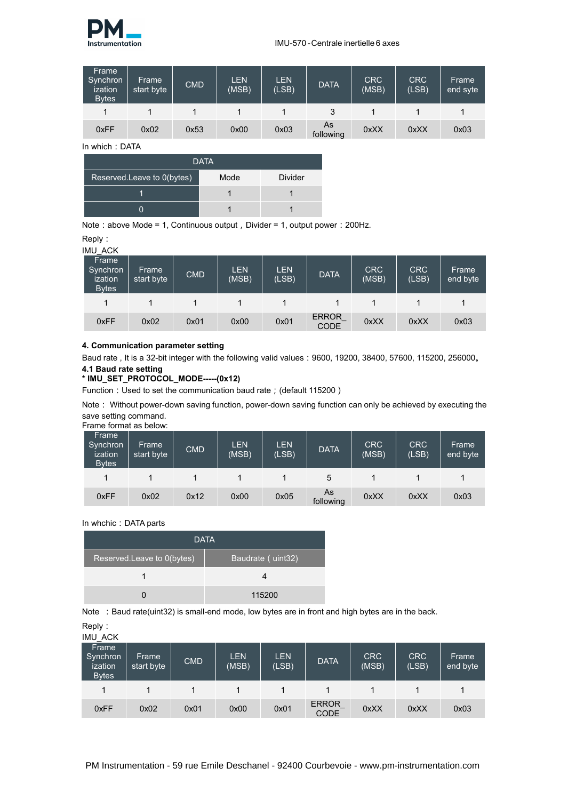

| Frame<br>Synchron<br>ization<br><b>Bytes</b> | Frame<br>start byte | <b>CMD</b> | <b>LEN</b><br>(MSB) | <b>LEN</b><br>(LSB) | <b>DATA</b>     | <b>CRC</b><br>(MSB) | <b>CRC</b><br>(LSB) | Frame<br>end syte |
|----------------------------------------------|---------------------|------------|---------------------|---------------------|-----------------|---------------------|---------------------|-------------------|
|                                              |                     |            |                     |                     |                 |                     |                     |                   |
| 0xFF                                         | 0x02                | 0x53       | 0x00                | 0x03                | As<br>following | 0xXX                | 0xXX                | 0x03              |

In which: DATA

| <b>DATA</b>                |      |                |  |  |  |  |
|----------------------------|------|----------------|--|--|--|--|
| Reserved.Leave to 0(bytes) | Mode | <b>Divider</b> |  |  |  |  |
|                            |      |                |  |  |  |  |
|                            |      |                |  |  |  |  |

Note: above Mode = 1, Continuous output, Divider = 1, output power: 200Hz.

| Reply: |  |  |
|--------|--|--|
|        |  |  |

| IMU_ACK                                      |                     |            |                     |                     |                       |              |                     |                   |
|----------------------------------------------|---------------------|------------|---------------------|---------------------|-----------------------|--------------|---------------------|-------------------|
| Frame<br>Synchron<br>ization<br><b>Bytes</b> | Frame<br>start byte | <b>CMD</b> | <b>LEN</b><br>(MSB) | <b>LEN</b><br>(LSB) | <b>DATA</b>           | CRC<br>(MSB) | <b>CRC</b><br>(LSB) | Frame<br>end byte |
| 1                                            |                     |            |                     |                     |                       |              |                     |                   |
| 0xFF                                         | 0x02                | 0x01       | 0x00                | 0x01                | ERROR_<br><b>CODE</b> | 0xXX         | 0xXX                | 0x03              |

#### **4. Communication parameter setting**

Baud rate , It is a 32-bit integer with the following valid values:9600, 19200, 38400, 57600, 115200, 256000。 **4.1 Baud rate setting**

## **\* IMU\_SET\_PROTOCOL\_MODE-----(0x12)**

Function: Used to set the communication baud rate; (default 115200)

Note: Without power-down saving function, power-down saving function can only be achieved by executing the save setting command.

| Frame<br>Synchron<br>ization<br><b>Bytes</b> | Frame<br>start byte | <b>CMD</b> | <b>LEN</b><br>(MSB) | <b>LEN</b><br>(LSB) | <b>DATA</b>     | <b>CRC</b><br>(MSB) | <b>CRC</b><br>(LSB) | Frame<br>end byte |
|----------------------------------------------|---------------------|------------|---------------------|---------------------|-----------------|---------------------|---------------------|-------------------|
| 4                                            |                     |            |                     |                     | 5               |                     |                     |                   |
| 0xFF                                         | 0x02                | 0x12       | 0x00                | 0x05                | As<br>following | 0xXX                | 0xXX                | 0x03              |

In whchic: DATA parts

|                            | <b>DATA</b>       |
|----------------------------|-------------------|
| Reserved.Leave to 0(bytes) | Baudrate (uint32) |
|                            |                   |
|                            | 115200            |

Note : Baud rate(uint32) is small-end mode, low bytes are in front and high bytes are in the back.

| Reply:                       |  |  |
|------------------------------|--|--|
| $IMI$ $\Lambda$ $\sim$ $\mu$ |  |  |

| <b>IIVIU AUN</b><br>Frame<br>Synchron<br>ization<br><b>Bytes</b> | Frame<br>start byte | <b>CMD</b> | <b>LEN</b><br>(MSB) | <b>LEN</b><br>(LSB) | <b>DATA</b>                | <b>CRC</b><br>(MSB) | <b>CRC</b><br>(LSB) | Frame<br>end byte |
|------------------------------------------------------------------|---------------------|------------|---------------------|---------------------|----------------------------|---------------------|---------------------|-------------------|
|                                                                  |                     |            |                     |                     |                            |                     |                     |                   |
| 0xFF                                                             | 0x02                | 0x01       | 0x00                | 0x01                | ERROR<br>CODE <sup>-</sup> | 0xXX                | 0xXX                | 0x03              |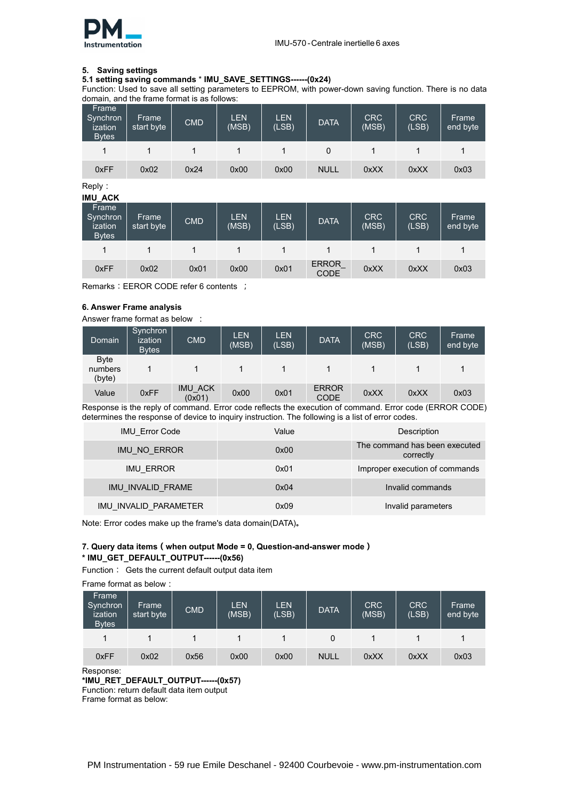

#### **5. Saving settings**

#### **5.1 setting saving commands** \* **IMU\_SAVE\_SETTINGS------(0x24)**

Function: Used to save all setting parameters to EEPROM, with power-down saving function. There is no data domain, and the frame format is as follows:

| Frame<br>Synchron<br>ization<br><b>Bytes</b> | Frame<br>start byte | <b>CMD</b> | LEN<br>(MSB) | <b>LEN</b><br>(LSB) | <b>DATA</b> | CRC<br>(MSB) | <b>CRC</b><br>(LSB) | Frame<br>end byte |
|----------------------------------------------|---------------------|------------|--------------|---------------------|-------------|--------------|---------------------|-------------------|
|                                              |                     |            |              |                     |             |              |                     |                   |
| 0xFF                                         | 0x02                | 0x24       | 0x00         | 0x00                | <b>NULL</b> | 0xXX         | 0xXX                | 0x03              |

Reply:

| <b>IMU_ACK</b>                               |                     |            |                     |                     |                      |              |                     |                   |
|----------------------------------------------|---------------------|------------|---------------------|---------------------|----------------------|--------------|---------------------|-------------------|
| Frame<br>Synchron<br>ization<br><b>Bytes</b> | Frame<br>start byte | <b>CMD</b> | <b>LEN</b><br>(MSB) | <b>LEN</b><br>(LSB) | <b>DATA</b>          | CRC<br>(MSB) | <b>CRC</b><br>(LSB) | Frame<br>end byte |
|                                              |                     |            |                     |                     |                      |              |                     |                   |
| 0xFF                                         | 0x02                | 0x01       | 0x00                | 0x01                | ERROR<br><b>CODE</b> | 0xXX         | 0xXX                | 0x03              |

Remarks: EEROR CODE refer 6 contents ;

#### **6. Answer Frame analysis**

Answer frame format as below :

| Domain                           | Synchron<br>ization<br><b>Bytes</b> | <b>CMD</b>        | <b>LEN</b><br>(MSB) | <b>LEN</b><br>(LSB) | <b>DATA</b>          | <b>CRC</b><br>(MSB) | <b>CRC</b><br>(LSB) | Frame<br>end byte |
|----------------------------------|-------------------------------------|-------------------|---------------------|---------------------|----------------------|---------------------|---------------------|-------------------|
| <b>Byte</b><br>numbers<br>(byte) |                                     |                   |                     |                     |                      |                     |                     |                   |
| Value                            | 0xFF                                | IMU_ACK<br>(0x01) | 0x00                | 0x01                | <b>ERROR</b><br>CODE | 0xXX                | 0xXX                | 0x03              |

Response is the reply of command. Error code reflects the execution of command. Error code (ERROR CODE) determines the response of device to inquiry instruction. The following is a list of error codes.

| <b>IMU Error Code</b> | Value | Description                                |
|-----------------------|-------|--------------------------------------------|
| IMU NO ERROR          | 0x00  | The command has been executed<br>correctly |
| <b>IMU ERROR</b>      | 0x01  | Improper execution of commands             |
| IMU_INVALID_FRAME     | 0x04  | Invalid commands                           |
| IMU INVALID PARAMETER | 0x09  | Invalid parameters                         |

Note: Error codes make up the frame's data domain(DATA)。

#### **7. Query data items(when output Mode = 0, Question-and-answer mode) \* IMU\_GET\_DEFAULT\_OUTPUT------(0x56)**

Function: Gets the current default output data item

Frame format as below:

| Frame<br>Synchron<br>ization<br><b>Bytes</b> | Frame<br>start byte | <b>CMD</b> | <b>LEN</b><br>(MSB) | <b>LEN</b><br>(LSB) | <b>DATA</b> | CRC<br>(MSB) | <b>CRC</b><br>(LSB) | Frame<br>end byte |
|----------------------------------------------|---------------------|------------|---------------------|---------------------|-------------|--------------|---------------------|-------------------|
|                                              |                     |            |                     |                     |             |              |                     |                   |
| 0xFF                                         | 0x02                | 0x56       | 0x00                | 0x00                | <b>NULL</b> | 0xXX         | 0xXX                | 0x03              |

Response:

**\*IMU\_RET\_DEFAULT\_OUTPUT------(0x57)**

Function: return default data item output

Frame format as below: